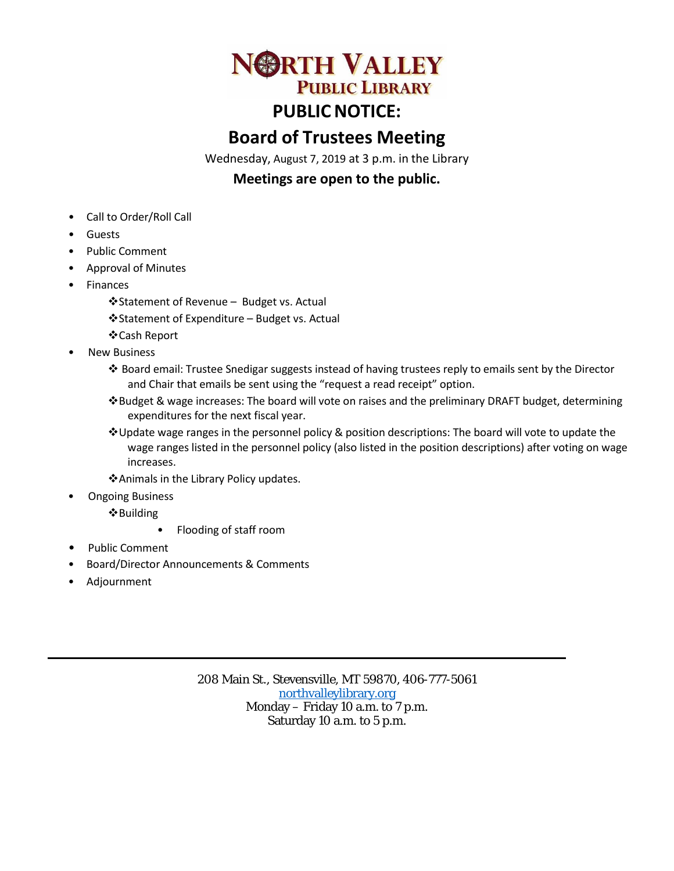

# **PUBLIC NOTICE:**

# **Board of Trustees Meeting**

Wednesday, August 7, 2019 at 3 p.m. in the Library

# **Meetings are open to the public.**

- Call to Order/Roll Call
- **Guests**
- Public Comment
- Approval of Minutes
- **Finances** 
	- Statement of Revenue Budget vs. Actual
	- Statement of Expenditure Budget vs. Actual
	- Cash Report
- **New Business** 
	- ❖ Board email: Trustee Snedigar suggests instead of having trustees reply to emails sent by the Director and Chair that emails be sent using the "request a read receipt" option.
	- Budget & wage increases: The board will vote on raises and the preliminary DRAFT budget, determining expenditures for the next fiscal year.
	- Update wage ranges in the personnel policy & position descriptions: The board will vote to update the wage ranges listed in the personnel policy (also listed in the position descriptions) after voting on wage increases.
	- Animals in the Library Policy updates.
- Ongoing Business
	- Building
		- Flooding of staff room
- Public Comment
- Board/Director Announcements & Comments
- Adjournment

208 Main St., Stevensville, MT 59870, 406-777-5061 [northvalleylibrary.org](http://www.northvalleylibrary.org/) Monday – Friday 10 a.m. to 7 p.m. Saturday 10 a.m. to 5 p.m.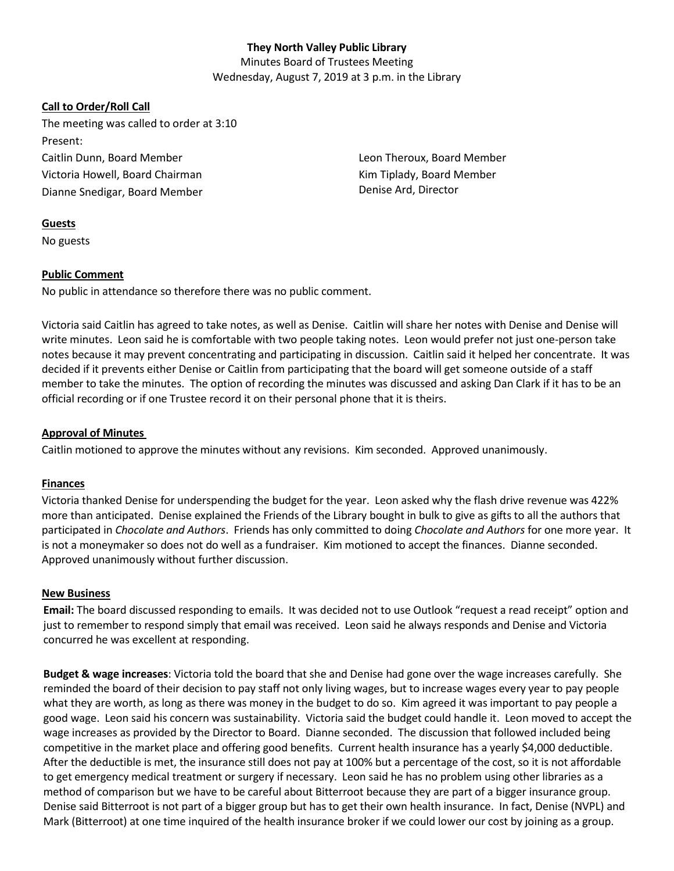# **They North Valley Public Library**

Minutes Board of Trustees Meeting Wednesday, August 7, 2019 at 3 p.m. in the Library

# **Call to Order/Roll Call**

The meeting was called to order at 3:10 Present: Caitlin Dunn, Board Member Victoria Howell, Board Chairman Dianne Snedigar, Board Member

Leon Theroux, Board Member Kim Tiplady, Board Member Denise Ard, Director

### **Guests**

No guests

### **Public Comment**

No public in attendance so therefore there was no public comment.

Victoria said Caitlin has agreed to take notes, as well as Denise. Caitlin will share her notes with Denise and Denise will write minutes. Leon said he is comfortable with two people taking notes. Leon would prefer not just one-person take notes because it may prevent concentrating and participating in discussion. Caitlin said it helped her concentrate. It was decided if it prevents either Denise or Caitlin from participating that the board will get someone outside of a staff member to take the minutes. The option of recording the minutes was discussed and asking Dan Clark if it has to be an official recording or if one Trustee record it on their personal phone that it is theirs.

# **Approval of Minutes**

Caitlin motioned to approve the minutes without any revisions. Kim seconded. Approved unanimously.

# **Finances**

Victoria thanked Denise for underspending the budget for the year. Leon asked why the flash drive revenue was 422% more than anticipated. Denise explained the Friends of the Library bought in bulk to give as gifts to all the authors that participated in *Chocolate and Authors*. Friends has only committed to doing *Chocolate and Authors* for one more year. It is not a moneymaker so does not do well as a fundraiser. Kim motioned to accept the finances. Dianne seconded. Approved unanimously without further discussion.

#### **New Business**

**Email:** The board discussed responding to emails. It was decided not to use Outlook "request a read receipt" option and just to remember to respond simply that email was received. Leon said he always responds and Denise and Victoria concurred he was excellent at responding.

**Budget & wage increases**: Victoria told the board that she and Denise had gone over the wage increases carefully. She reminded the board of their decision to pay staff not only living wages, but to increase wages every year to pay people what they are worth, as long as there was money in the budget to do so. Kim agreed it was important to pay people a good wage. Leon said his concern was sustainability. Victoria said the budget could handle it. Leon moved to accept the wage increases as provided by the Director to Board. Dianne seconded. The discussion that followed included being competitive in the market place and offering good benefits. Current health insurance has a yearly \$4,000 deductible. After the deductible is met, the insurance still does not pay at 100% but a percentage of the cost, so it is not affordable to get emergency medical treatment or surgery if necessary. Leon said he has no problem using other libraries as a method of comparison but we have to be careful about Bitterroot because they are part of a bigger insurance group. Denise said Bitterroot is not part of a bigger group but has to get their own health insurance. In fact, Denise (NVPL) and Mark (Bitterroot) at one time inquired of the health insurance broker if we could lower our cost by joining as a group.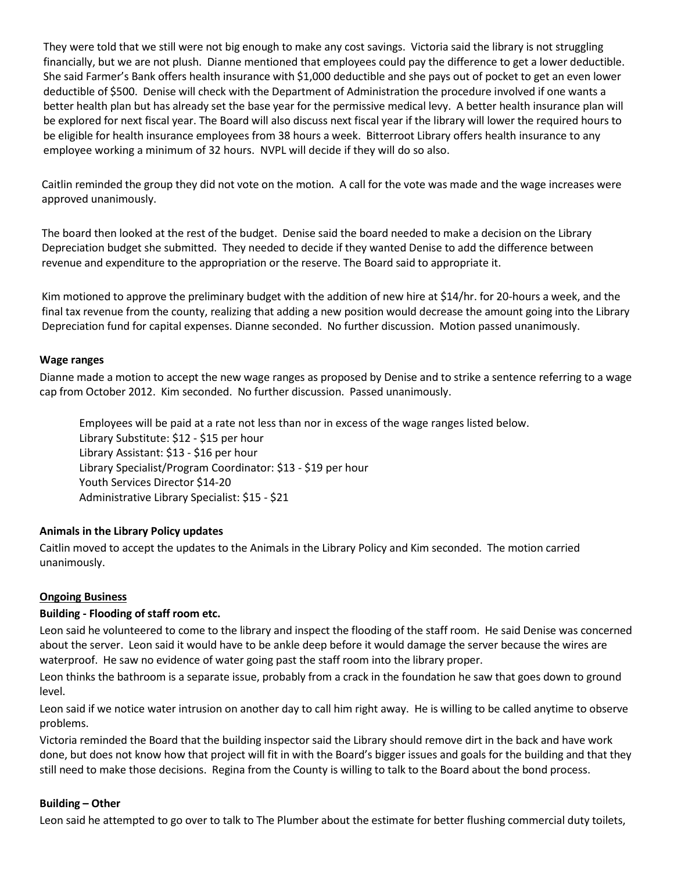They were told that we still were not big enough to make any cost savings. Victoria said the library is not struggling financially, but we are not plush. Dianne mentioned that employees could pay the difference to get a lower deductible. She said Farmer's Bank offers health insurance with \$1,000 deductible and she pays out of pocket to get an even lower deductible of \$500. Denise will check with the Department of Administration the procedure involved if one wants a better health plan but has already set the base year for the permissive medical levy. A better health insurance plan will be explored for next fiscal year. The Board will also discuss next fiscal year if the library will lower the required hours to be eligible for health insurance employees from 38 hours a week. Bitterroot Library offers health insurance to any employee working a minimum of 32 hours. NVPL will decide if they will do so also.

Caitlin reminded the group they did not vote on the motion. A call for the vote was made and the wage increases were approved unanimously.

The board then looked at the rest of the budget. Denise said the board needed to make a decision on the Library Depreciation budget she submitted. They needed to decide if they wanted Denise to add the difference between revenue and expenditure to the appropriation or the reserve. The Board said to appropriate it.

Kim motioned to approve the preliminary budget with the addition of new hire at \$14/hr. for 20-hours a week, and the final tax revenue from the county, realizing that adding a new position would decrease the amount going into the Library Depreciation fund for capital expenses. Dianne seconded. No further discussion. Motion passed unanimously.

#### **Wage ranges**

Dianne made a motion to accept the new wage ranges as proposed by Denise and to strike a sentence referring to a wage cap from October 2012. Kim seconded. No further discussion. Passed unanimously.

Employees will be paid at a rate not less than nor in excess of the wage ranges listed below. Library Substitute: \$12 - \$15 per hour Library Assistant: \$13 - \$16 per hour Library Specialist/Program Coordinator: \$13 - \$19 per hour Youth Services Director \$14-20 Administrative Library Specialist: \$15 - \$21

#### **Animals in the Library Policy updates**

Caitlin moved to accept the updates to the Animals in the Library Policy and Kim seconded. The motion carried unanimously.

#### **Ongoing Business**

#### **Building - Flooding of staff room etc.**

Leon said he volunteered to come to the library and inspect the flooding of the staff room. He said Denise was concerned about the server. Leon said it would have to be ankle deep before it would damage the server because the wires are waterproof. He saw no evidence of water going past the staff room into the library proper.

Leon thinks the bathroom is a separate issue, probably from a crack in the foundation he saw that goes down to ground level.

Leon said if we notice water intrusion on another day to call him right away. He is willing to be called anytime to observe problems.

Victoria reminded the Board that the building inspector said the Library should remove dirt in the back and have work done, but does not know how that project will fit in with the Board's bigger issues and goals for the building and that they still need to make those decisions. Regina from the County is willing to talk to the Board about the bond process.

#### **Building – Other**

Leon said he attempted to go over to talk to The Plumber about the estimate for better flushing commercial duty toilets,